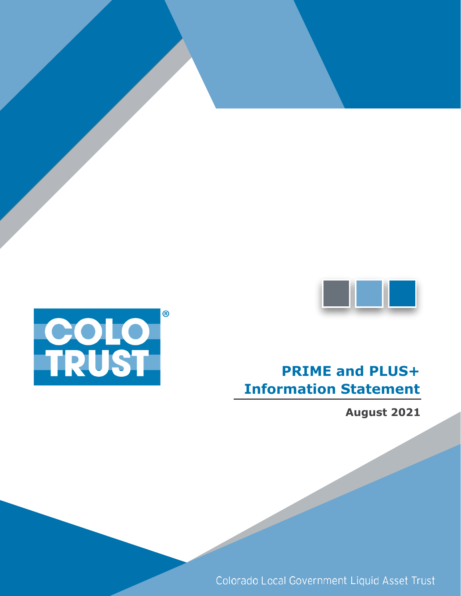



# **PRIME and PLUS+ Information Statement**

**August 2021**

Colorado Local Government Liquid Asset Trust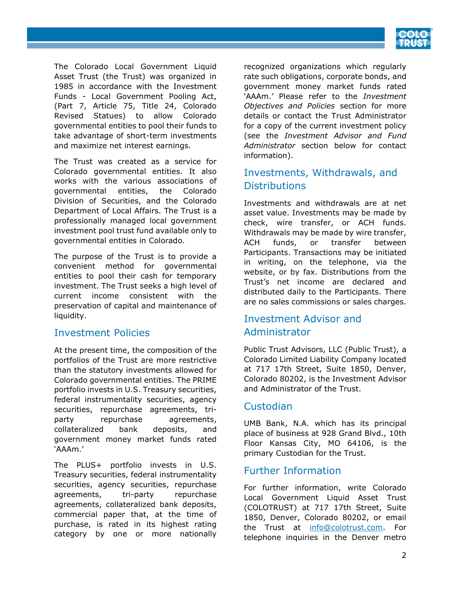

The Colorado Local Government Liquid Asset Trust (the Trust) was organized in 1985 in accordance with the Investment Funds - Local Government Pooling Act, (Part 7, Article 75, Title 24, Colorado Revised Statues) to allow Colorado governmental entities to pool their funds to take advantage of short-term investments and maximize net interest earnings.

The Trust was created as a service for Colorado governmental entities. It also works with the various associations of governmental entities, the Colorado Division of Securities, and the Colorado Department of Local Affairs. The Trust is a professionally managed local government investment pool trust fund available only to governmental entities in Colorado.

The purpose of the Trust is to provide a convenient method for governmental entities to pool their cash for temporary investment. The Trust seeks a high level of current income consistent with the preservation of capital and maintenance of liquidity.

## Investment Policies

At the present time, the composition of the portfolios of the Trust are more restrictive than the statutory investments allowed for Colorado governmental entities. The PRIME portfolio invests in U.S. Treasury securities, federal instrumentality securities, agency securities, repurchase agreements, triparty repurchase agreements, collateralized bank deposits, and government money market funds rated 'AAAm.'

The PLUS+ portfolio invests in U.S. Treasury securities, federal instrumentality securities, agency securities, repurchase agreements, tri-party repurchase agreements, collateralized bank deposits, commercial paper that, at the time of purchase, is rated in its highest rating category by one or more nationally

recognized organizations which regularly rate such obligations, corporate bonds, and government money market funds rated 'AAAm.' Please refer to the *Investment Objectives and Policies* section for more details or contact the Trust Administrator for a copy of the current investment policy (see the *Investment Advisor and Fund Administrator* section below for contact information).

# Investments, Withdrawals, and **Distributions**

Investments and withdrawals are at net asset value. Investments may be made by check, wire transfer, or ACH funds. Withdrawals may be made by wire transfer, ACH funds, or transfer between Participants. Transactions may be initiated in writing, on the telephone, via the website, or by fax. Distributions from the Trust's net income are declared and distributed daily to the Participants. There are no sales commissions or sales charges.

# Investment Advisor and Administrator

Public Trust Advisors, LLC (Public Trust), a Colorado Limited Liability Company located at 717 17th Street, Suite 1850, Denver, Colorado 80202, is the Investment Advisor and Administrator of the Trust.

# Custodian

UMB Bank, N.A. which has its principal place of business at 928 Grand Blvd., 10th Floor Kansas City, MO 64106, is the primary Custodian for the Trust.

# Further Information

For further information, write Colorado Local Government Liquid Asset Trust (COLOTRUST) at 717 17th Street, Suite 1850, Denver, Colorado 80202, or email the Trust at info@colotrust.com. For telephone inquiries in the Denver metro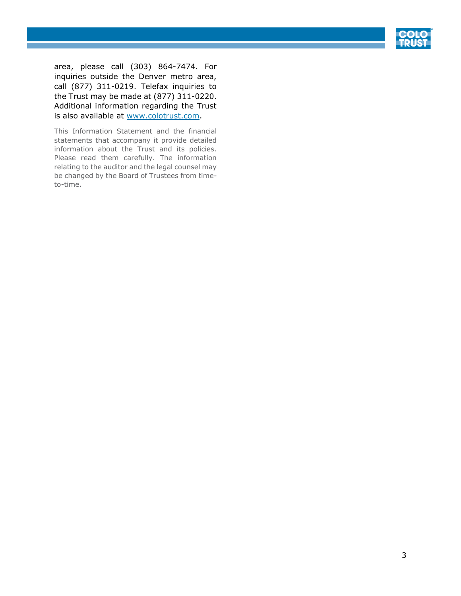

area, please call (303) 864-7474. For inquiries outside the Denver metro area, call (877) 311-0219. Telefax inquiries to the Trust may be made at (877) 311-0220. Additional information regarding the Trust is also available at www.colotrust.com.

This Information Statement and the financial statements that accompany it provide detailed information about the Trust and its policies. Please read them carefully. The information relating to the auditor and the legal counsel may be changed by the Board of Trustees from timeto-time.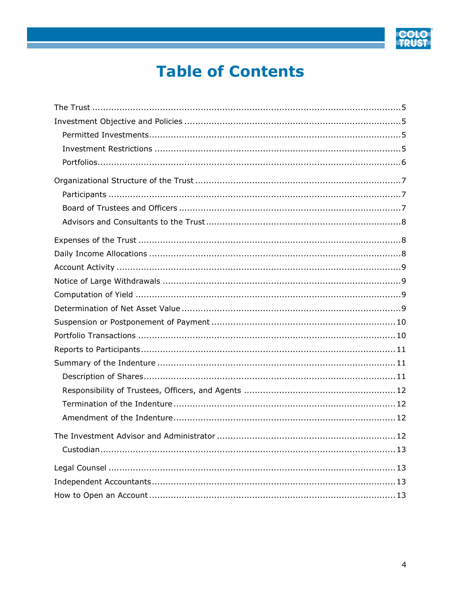

# **Table of Contents**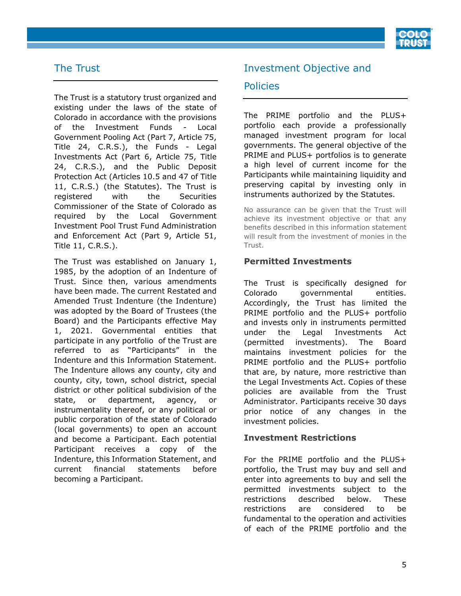

# <span id="page-4-0"></span>The Trust

The Trust is a statutory trust organized and existing under the laws of the state of Colorado in accordance with the provisions of the Investment Funds - Local Government Pooling Act (Part 7, Article 75, Title 24, C.R.S.), the Funds - Legal Investments Act (Part 6, Article 75, Title 24, C.R.S.), and the Public Deposit Protection Act (Articles 10.5 and 47 of Title 11, C.R.S.) (the Statutes). The Trust is registered with the Securities Commissioner of the State of Colorado as required by the Local Government Investment Pool Trust Fund Administration and Enforcement Act (Part 9, Article 51, Title 11, C.R.S.).

The Trust was established on January 1, 1985, by the adoption of an Indenture of Trust. Since then, various amendments have been made. The current Restated and Amended Trust Indenture (the Indenture) was adopted by the Board of Trustees (the Board) and the Participants effective May 1, 2021. Governmental entities that participate in any portfolio of the Trust are referred to as "Participants" in the Indenture and this Information Statement. The Indenture allows any county, city and county, city, town, school district, special district or other political subdivision of the state, or department, agency, or instrumentality thereof, or any political or public corporation of the state of Colorado (local governments) to open an account and become a Participant. Each potential Participant receives a copy of the Indenture, this Information Statement, and current financial statements before becoming a Participant.

# <span id="page-4-1"></span>Investment Objective and

## **Policies**

The PRIME portfolio and the PLUS+ portfolio each provide a professionally managed investment program for local governments. The general objective of the PRIME and PLUS+ portfolios is to generate a high level of current income for the Participants while maintaining liquidity and preserving capital by investing only in instruments authorized by the Statutes.

No assurance can be given that the Trust will achieve its investment objective or that any benefits described in this information statement will result from the investment of monies in the Trust.

#### <span id="page-4-2"></span>**Permitted Investments**

The Trust is specifically designed for Colorado governmental entities. Accordingly, the Trust has limited the PRIME portfolio and the PLUS+ portfolio and invests only in instruments permitted under the Legal Investments Act (permitted investments). The Board maintains investment policies for the PRIME portfolio and the PLUS+ portfolio that are, by nature, more restrictive than the Legal Investments Act. Copies of these policies are available from the Trust Administrator. Participants receive 30 days prior notice of any changes in the investment policies.

#### <span id="page-4-3"></span>**Investment Restrictions**

For the PRIME portfolio and the PLUS+ portfolio, the Trust may buy and sell and enter into agreements to buy and sell the permitted investments subject to the restrictions described below. These restrictions are considered to be fundamental to the operation and activities of each of the PRIME portfolio and the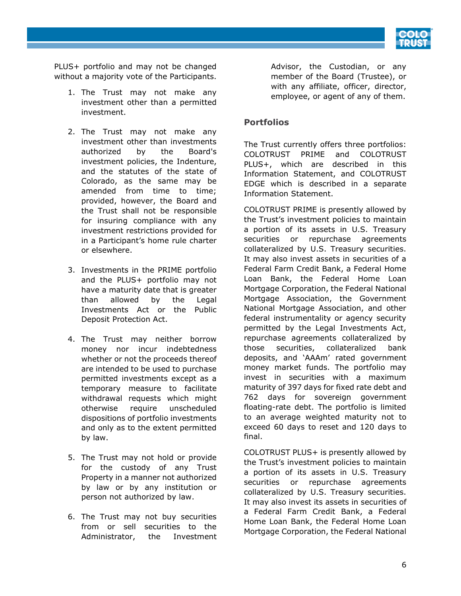

PLUS+ portfolio and may not be changed without a majority vote of the Participants.

- 1. The Trust may not make any investment other than a permitted investment.
- 2. The Trust may not make any investment other than investments authorized by the Board's investment policies, the Indenture, and the statutes of the state of Colorado, as the same may be amended from time to time; provided, however, the Board and the Trust shall not be responsible for insuring compliance with any investment restrictions provided for in a Participant's home rule charter or elsewhere.
- 3. Investments in the PRIME portfolio and the PLUS+ portfolio may not have a maturity date that is greater than allowed by the Legal Investments Act or the Public Deposit Protection Act.
- 4. The Trust may neither borrow money nor incur indebtedness whether or not the proceeds thereof are intended to be used to purchase permitted investments except as a temporary measure to facilitate withdrawal requests which might otherwise require unscheduled dispositions of portfolio investments and only as to the extent permitted by law.
- 5. The Trust may not hold or provide for the custody of any Trust Property in a manner not authorized by law or by any institution or person not authorized by law.
- 6. The Trust may not buy securities from or sell securities to the Administrator, the Investment

Advisor, the Custodian, or any member of the Board (Trustee), or with any affiliate, officer, director, employee, or agent of any of them.

## <span id="page-5-0"></span>**Portfolios**

The Trust currently offers three portfolios: COLOTRUST PRIME and COLOTRUST PLUS+, which are described in this Information Statement, and COLOTRUST EDGE which is described in a separate Information Statement.

COLOTRUST PRIME is presently allowed by the Trust's investment policies to maintain a portion of its assets in U.S. Treasury securities or repurchase agreements collateralized by U.S. Treasury securities. It may also invest assets in securities of a Federal Farm Credit Bank, a Federal Home Loan Bank, the Federal Home Loan Mortgage Corporation, the Federal National Mortgage Association, the Government National Mortgage Association, and other federal instrumentality or agency security permitted by the Legal Investments Act, repurchase agreements collateralized by those securities, collateralized bank deposits, and 'AAAm' rated government money market funds. The portfolio may invest in securities with a maximum maturity of 397 days for fixed rate debt and 762 days for sovereign government floating-rate debt. The portfolio is limited to an average weighted maturity not to exceed 60 days to reset and 120 days to final.

COLOTRUST PLUS+ is presently allowed by the Trust's investment policies to maintain a portion of its assets in U.S. Treasury securities or repurchase agreements collateralized by U.S. Treasury securities. It may also invest its assets in securities of a Federal Farm Credit Bank, a Federal Home Loan Bank, the Federal Home Loan Mortgage Corporation, the Federal National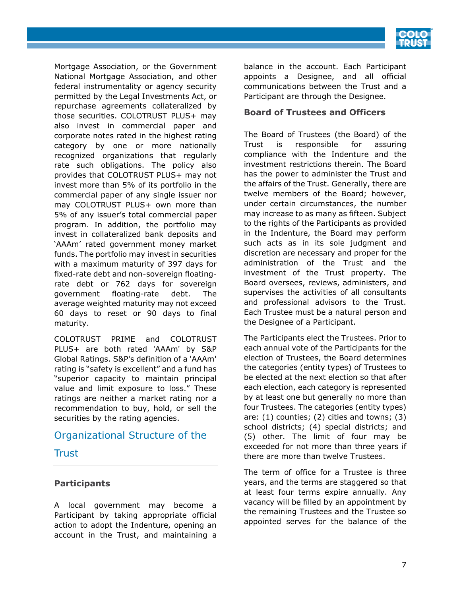

Mortgage Association, or the Government National Mortgage Association, and other federal instrumentality or agency security permitted by the Legal Investments Act, or repurchase agreements collateralized by those securities. COLOTRUST PLUS+ may also invest in commercial paper and corporate notes rated in the highest rating category by one or more nationally recognized organizations that regularly rate such obligations. The policy also provides that COLOTRUST PLUS+ may not invest more than 5% of its portfolio in the commercial paper of any single issuer nor may COLOTRUST PLUS+ own more than 5% of any issuer's total commercial paper program. In addition, the portfolio may invest in collateralized bank deposits and 'AAAm' rated government money market funds. The portfolio may invest in securities with a maximum maturity of 397 days for fixed-rate debt and non-sovereign floatingrate debt or 762 days for sovereign government floating-rate debt. The average weighted maturity may not exceed 60 days to reset or 90 days to final maturity.

COLOTRUST PRIME and COLOTRUST PLUS+ are both rated 'AAAm' by S&P Global Ratings. S&P's definition of a 'AAAm' rating is "safety is excellent" and a fund has "superior capacity to maintain principal value and limit exposure to loss." These ratings are neither a market rating nor a recommendation to buy, hold, or sell the securities by the rating agencies.

# <span id="page-6-0"></span>Organizational Structure of the

## Trust

#### <span id="page-6-1"></span>**Participants**

A local government may become a Participant by taking appropriate official action to adopt the Indenture, opening an account in the Trust, and maintaining a balance in the account. Each Participant appoints a Designee, and all official communications between the Trust and a Participant are through the Designee.

#### <span id="page-6-2"></span>**Board of Trustees and Officers**

The Board of Trustees (the Board) of the Trust is responsible for assuring compliance with the Indenture and the investment restrictions therein. The Board has the power to administer the Trust and the affairs of the Trust. Generally, there are twelve members of the Board; however, under certain circumstances, the number may increase to as many as fifteen. Subject to the rights of the Participants as provided in the Indenture, the Board may perform such acts as in its sole judgment and discretion are necessary and proper for the administration of the Trust and the investment of the Trust property. The Board oversees, reviews, administers, and supervises the activities of all consultants and professional advisors to the Trust. Each Trustee must be a natural person and the Designee of a Participant.

The Participants elect the Trustees. Prior to each annual vote of the Participants for the election of Trustees, the Board determines the categories (entity types) of Trustees to be elected at the next election so that after each election, each category is represented by at least one but generally no more than four Trustees. The categories (entity types) are: (1) counties; (2) cities and towns; (3) school districts; (4) special districts; and (5) other. The limit of four may be exceeded for not more than three years if there are more than twelve Trustees.

The term of office for a Trustee is three years, and the terms are staggered so that at least four terms expire annually. Any vacancy will be filled by an appointment by the remaining Trustees and the Trustee so appointed serves for the balance of the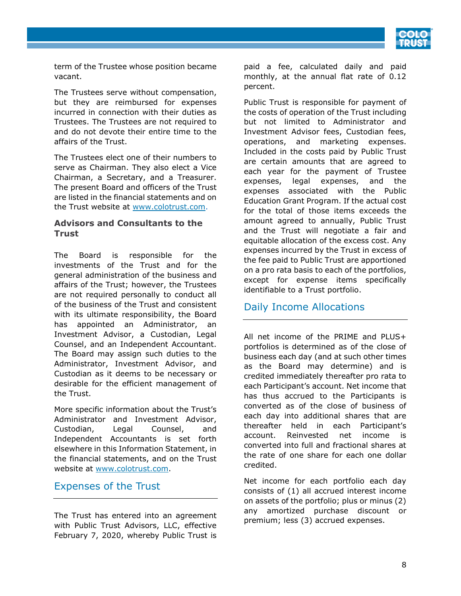

term of the Trustee whose position became vacant.

The Trustees serve without compensation, but they are reimbursed for expenses incurred in connection with their duties as Trustees. The Trustees are not required to and do not devote their entire time to the affairs of the Trust.

The Trustees elect one of their numbers to serve as Chairman. They also elect a Vice Chairman, a Secretary, and a Treasurer. The present Board and officers of the Trust are listed in the financial statements and on the Trust website at www.colotrust.com.

#### <span id="page-7-0"></span>**Advisors and Consultants to the Trust**

The Board is responsible for the investments of the Trust and for the general administration of the business and affairs of the Trust; however, the Trustees are not required personally to conduct all of the business of the Trust and consistent with its ultimate responsibility, the Board has appointed an Administrator, an Investment Advisor, a Custodian, Legal Counsel, and an Independent Accountant. The Board may assign such duties to the Administrator, Investment Advisor, and Custodian as it deems to be necessary or desirable for the efficient management of the Trust.

More specific information about the Trust's Administrator and Investment Advisor, Custodian, Legal Counsel, and Independent Accountants is set forth elsewhere in this Information Statement, in the financial statements, and on the Trust website at www.colotrust.com.

## <span id="page-7-1"></span>Expenses of the Trust

The Trust has entered into an agreement with Public Trust Advisors, LLC, effective February 7, 2020, whereby Public Trust is

paid a fee, calculated daily and paid monthly, at the annual flat rate of 0.12 percent.

Public Trust is responsible for payment of the costs of operation of the Trust including but not limited to Administrator and Investment Advisor fees, Custodian fees, operations, and marketing expenses. Included in the costs paid by Public Trust are certain amounts that are agreed to each year for the payment of Trustee expenses, legal expenses, and the expenses associated with the Public Education Grant Program. If the actual cost for the total of those items exceeds the amount agreed to annually, Public Trust and the Trust will negotiate a fair and equitable allocation of the excess cost. Any expenses incurred by the Trust in excess of the fee paid to Public Trust are apportioned on a pro rata basis to each of the portfolios, except for expense items specifically identifiable to a Trust portfolio.

# <span id="page-7-2"></span>Daily Income Allocations

All net income of the PRIME and PLUS+ portfolios is determined as of the close of business each day (and at such other times as the Board may determine) and is credited immediately thereafter pro rata to each Participant's account. Net income that has thus accrued to the Participants is converted as of the close of business of each day into additional shares that are thereafter held in each Participant's account. Reinvested net income is converted into full and fractional shares at the rate of one share for each one dollar credited.

Net income for each portfolio each day consists of (1) all accrued interest income on assets of the portfolio; plus or minus (2) any amortized purchase discount or premium; less (3) accrued expenses.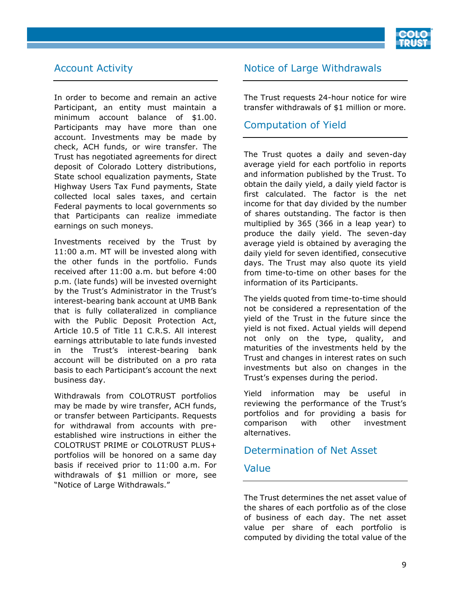

## <span id="page-8-0"></span>Account Activity

In order to become and remain an active Participant, an entity must maintain a minimum account balance of \$1.00. Participants may have more than one account. Investments may be made by check, ACH funds, or wire transfer. The Trust has negotiated agreements for direct deposit of Colorado Lottery distributions, State school equalization payments, State Highway Users Tax Fund payments, State collected local sales taxes, and certain Federal payments to local governments so that Participants can realize immediate earnings on such moneys.

Investments received by the Trust by 11:00 a.m. MT will be invested along with the other funds in the portfolio. Funds received after 11:00 a.m. but before 4:00 p.m. (late funds) will be invested overnight by the Trust's Administrator in the Trust's interest-bearing bank account at UMB Bank that is fully collateralized in compliance with the Public Deposit Protection Act, Article 10.5 of Title 11 C.R.S. All interest earnings attributable to late funds invested in the Trust's interest-bearing bank account will be distributed on a pro rata basis to each Participant's account the next business day.

Withdrawals from COLOTRUST portfolios may be made by wire transfer, ACH funds, or transfer between Participants. Requests for withdrawal from accounts with preestablished wire instructions in either the COLOTRUST PRIME or COLOTRUST PLUS+ portfolios will be honored on a same day basis if received prior to 11:00 a.m. For withdrawals of \$1 million or more, see "Notice of Large Withdrawals."

## <span id="page-8-1"></span>Notice of Large Withdrawals

The Trust requests 24-hour notice for wire transfer withdrawals of \$1 million or more.

## <span id="page-8-2"></span>Computation of Yield

The Trust quotes a daily and seven-day average yield for each portfolio in reports and information published by the Trust. To obtain the daily yield, a daily yield factor is first calculated. The factor is the net income for that day divided by the number of shares outstanding. The factor is then multiplied by 365 (366 in a leap year) to produce the daily yield. The seven-day average yield is obtained by averaging the daily yield for seven identified, consecutive days. The Trust may also quote its yield from time-to-time on other bases for the information of its Participants.

The yields quoted from time-to-time should not be considered a representation of the yield of the Trust in the future since the yield is not fixed. Actual yields will depend not only on the type, quality, and maturities of the investments held by the Trust and changes in interest rates on such investments but also on changes in the Trust's expenses during the period.

Yield information may be useful in reviewing the performance of the Trust's portfolios and for providing a basis for comparison with other investment alternatives.

## <span id="page-8-3"></span>Determination of Net Asset

## Value

The Trust determines the net asset value of the shares of each portfolio as of the close of business of each day. The net asset value per share of each portfolio is computed by dividing the total value of the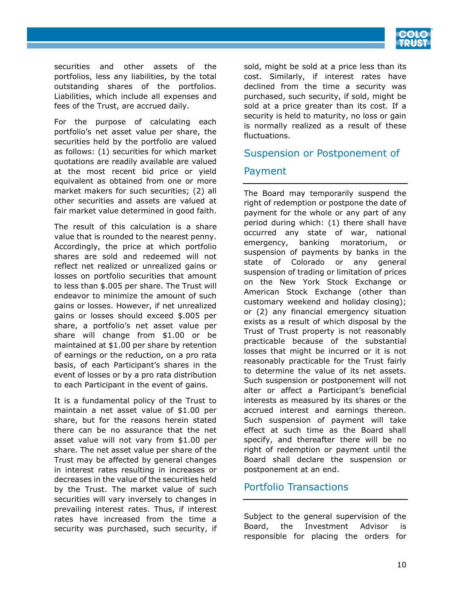

securities and other assets of the portfolios, less any liabilities, by the total outstanding shares of the portfolios. Liabilities, which include all expenses and fees of the Trust, are accrued daily.

For the purpose of calculating each portfolio's net asset value per share, the securities held by the portfolio are valued as follows: (1) securities for which market quotations are readily available are valued at the most recent bid price or yield equivalent as obtained from one or more market makers for such securities; (2) all other securities and assets are valued at fair market value determined in good faith.

The result of this calculation is a share value that is rounded to the nearest penny. Accordingly, the price at which portfolio shares are sold and redeemed will not reflect net realized or unrealized gains or losses on portfolio securities that amount to less than \$.005 per share. The Trust will endeavor to minimize the amount of such gains or losses. However, if net unrealized gains or losses should exceed \$.005 per share, a portfolio's net asset value per share will change from \$1.00 or be maintained at \$1.00 per share by retention of earnings or the reduction, on a pro rata basis, of each Participant's shares in the event of losses or by a pro rata distribution to each Participant in the event of gains.

It is a fundamental policy of the Trust to maintain a net asset value of \$1.00 per share, but for the reasons herein stated there can be no assurance that the net asset value will not vary from \$1.00 per share. The net asset value per share of the Trust may be affected by general changes in interest rates resulting in increases or decreases in the value of the securities held by the Trust. The market value of such securities will vary inversely to changes in prevailing interest rates. Thus, if interest rates have increased from the time a security was purchased, such security, if sold, might be sold at a price less than its cost. Similarly, if interest rates have declined from the time a security was purchased, such security, if sold, might be sold at a price greater than its cost. If a security is held to maturity, no loss or gain is normally realized as a result of these fluctuations.

## <span id="page-9-0"></span>Suspension or Postponement of

## Payment

The Board may temporarily suspend the right of redemption or postpone the date of payment for the whole or any part of any period during which: (1) there shall have occurred any state of war, national emergency, banking moratorium, or suspension of payments by banks in the state of Colorado or any general suspension of trading or limitation of prices on the New York Stock Exchange or American Stock Exchange (other than customary weekend and holiday closing); or (2) any financial emergency situation exists as a result of which disposal by the Trust of Trust property is not reasonably practicable because of the substantial losses that might be incurred or it is not reasonably practicable for the Trust fairly to determine the value of its net assets. Such suspension or postponement will not alter or affect a Participant's beneficial interests as measured by its shares or the accrued interest and earnings thereon. Such suspension of payment will take effect at such time as the Board shall specify, and thereafter there will be no right of redemption or payment until the Board shall declare the suspension or postponement at an end.

## <span id="page-9-1"></span>Portfolio Transactions

Subject to the general supervision of the Board, the Investment Advisor is responsible for placing the orders for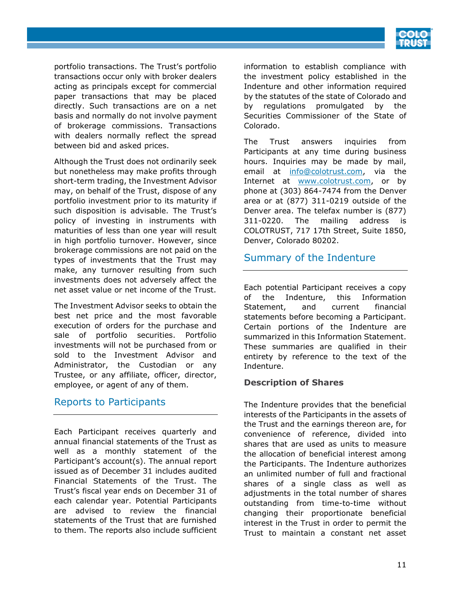

portfolio transactions. The Trust's portfolio transactions occur only with broker dealers acting as principals except for commercial paper transactions that may be placed directly. Such transactions are on a net basis and normally do not involve payment of brokerage commissions. Transactions with dealers normally reflect the spread between bid and asked prices.

Although the Trust does not ordinarily seek but nonetheless may make profits through short-term trading, the Investment Advisor may, on behalf of the Trust, dispose of any portfolio investment prior to its maturity if such disposition is advisable. The Trust's policy of investing in instruments with maturities of less than one year will result in high portfolio turnover. However, since brokerage commissions are not paid on the types of investments that the Trust may make, any turnover resulting from such investments does not adversely affect the net asset value or net income of the Trust.

The Investment Advisor seeks to obtain the best net price and the most favorable execution of orders for the purchase and sale of portfolio securities. Portfolio investments will not be purchased from or sold to the Investment Advisor and Administrator, the Custodian or any Trustee, or any affiliate, officer, director, employee, or agent of any of them.

# <span id="page-10-0"></span>Reports to Participants

Each Participant receives quarterly and annual financial statements of the Trust as well as a monthly statement of the Participant's account(s). The annual report issued as of December 31 includes audited Financial Statements of the Trust. The Trust's fiscal year ends on December 31 of each calendar year. Potential Participants are advised to review the financial statements of the Trust that are furnished to them. The reports also include sufficient information to establish compliance with the investment policy established in the Indenture and other information required by the statutes of the state of Colorado and by regulations promulgated by the Securities Commissioner of the State of Colorado.

The Trust answers inquiries from Participants at any time during business hours. Inquiries may be made by mail, email at info@colotrust.com, via the Internet at www.colotrust.com, or by phone at (303) 864-7474 from the Denver area or at (877) 311-0219 outside of the Denver area. The telefax number is (877) 311-0220. The mailing address is COLOTRUST, 717 17th Street, Suite 1850, Denver, Colorado 80202.

# <span id="page-10-1"></span>Summary of the Indenture

Each potential Participant receives a copy of the Indenture, this Information Statement, and current financial statements before becoming a Participant. Certain portions of the Indenture are summarized in this Information Statement. These summaries are qualified in their entirety by reference to the text of the Indenture.

## <span id="page-10-2"></span>**Description of Shares**

The Indenture provides that the beneficial interests of the Participants in the assets of the Trust and the earnings thereon are, for convenience of reference, divided into shares that are used as units to measure the allocation of beneficial interest among the Participants. The Indenture authorizes an unlimited number of full and fractional shares of a single class as well as adjustments in the total number of shares outstanding from time-to-time without changing their proportionate beneficial interest in the Trust in order to permit the Trust to maintain a constant net asset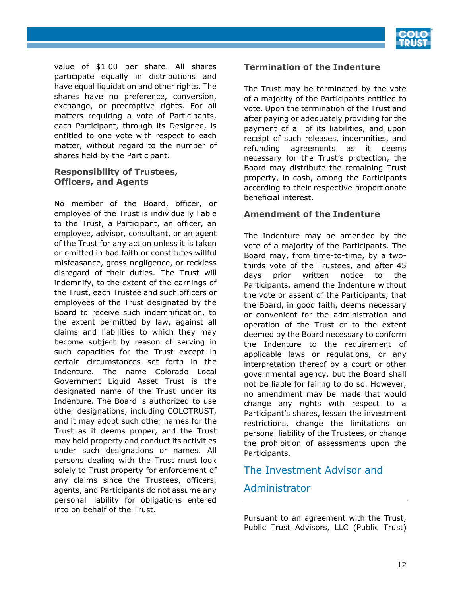

value of \$1.00 per share. All shares participate equally in distributions and have equal liquidation and other rights. The shares have no preference, conversion, exchange, or preemptive rights. For all matters requiring a vote of Participants, each Participant, through its Designee, is entitled to one vote with respect to each matter, without regard to the number of shares held by the Participant.

#### <span id="page-11-0"></span>**Responsibility of Trustees, Officers, and Agents**

No member of the Board, officer, or employee of the Trust is individually liable to the Trust, a Participant, an officer, an employee, advisor, consultant, or an agent of the Trust for any action unless it is taken or omitted in bad faith or constitutes willful misfeasance, gross negligence, or reckless disregard of their duties. The Trust will indemnify, to the extent of the earnings of the Trust, each Trustee and such officers or employees of the Trust designated by the Board to receive such indemnification, to the extent permitted by law, against all claims and liabilities to which they may become subject by reason of serving in such capacities for the Trust except in certain circumstances set forth in the Indenture. The name Colorado Local Government Liquid Asset Trust is the designated name of the Trust under its Indenture. The Board is authorized to use other designations, including COLOTRUST, and it may adopt such other names for the Trust as it deems proper, and the Trust may hold property and conduct its activities under such designations or names. All persons dealing with the Trust must look solely to Trust property for enforcement of any claims since the Trustees, officers, agents, and Participants do not assume any personal liability for obligations entered into on behalf of the Trust.

#### <span id="page-11-1"></span>**Termination of the Indenture**

The Trust may be terminated by the vote of a majority of the Participants entitled to vote. Upon the termination of the Trust and after paying or adequately providing for the payment of all of its liabilities, and upon receipt of such releases, indemnities, and refunding agreements as it deems necessary for the Trust's protection, the Board may distribute the remaining Trust property, in cash, among the Participants according to their respective proportionate beneficial interest.

#### <span id="page-11-2"></span>**Amendment of the Indenture**

The Indenture may be amended by the vote of a majority of the Participants. The Board may, from time-to-time, by a twothirds vote of the Trustees, and after 45 days prior written notice to the Participants, amend the Indenture without the vote or assent of the Participants, that the Board, in good faith, deems necessary or convenient for the administration and operation of the Trust or to the extent deemed by the Board necessary to conform the Indenture to the requirement of applicable laws or regulations, or any interpretation thereof by a court or other governmental agency, but the Board shall not be liable for failing to do so. However, no amendment may be made that would change any rights with respect to a Participant's shares, lessen the investment restrictions, change the limitations on personal liability of the Trustees, or change the prohibition of assessments upon the Participants.

## <span id="page-11-3"></span>The Investment Advisor and

## Administrator

Pursuant to an agreement with the Trust, Public Trust Advisors, LLC (Public Trust)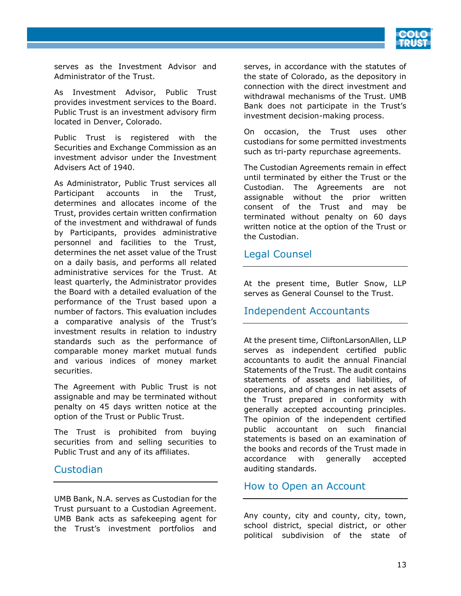

serves as the Investment Advisor and Administrator of the Trust.

As Investment Advisor, Public Trust provides investment services to the Board. Public Trust is an investment advisory firm located in Denver, Colorado.

Public Trust is registered with the Securities and Exchange Commission as an investment advisor under the Investment Advisers Act of 1940.

As Administrator, Public Trust services all Participant accounts in the Trust, determines and allocates income of the Trust, provides certain written confirmation of the investment and withdrawal of funds by Participants, provides administrative personnel and facilities to the Trust, determines the net asset value of the Trust on a daily basis, and performs all related administrative services for the Trust. At least quarterly, the Administrator provides the Board with a detailed evaluation of the performance of the Trust based upon a number of factors. This evaluation includes a comparative analysis of the Trust's investment results in relation to industry standards such as the performance of comparable money market mutual funds and various indices of money market securities.

The Agreement with Public Trust is not assignable and may be terminated without penalty on 45 days written notice at the option of the Trust or Public Trust.

The Trust is prohibited from buying securities from and selling securities to Public Trust and any of its affiliates.

## <span id="page-12-0"></span>Custodian

UMB Bank, N.A. serves as Custodian for the Trust pursuant to a Custodian Agreement. UMB Bank acts as safekeeping agent for the Trust's investment portfolios and serves, in accordance with the statutes of the state of Colorado, as the depository in connection with the direct investment and withdrawal mechanisms of the Trust. UMB Bank does not participate in the Trust's investment decision-making process.

On occasion, the Trust uses other custodians for some permitted investments such as tri-party repurchase agreements.

The Custodian Agreements remain in effect until terminated by either the Trust or the Custodian. The Agreements are not assignable without the prior written consent of the Trust and may be terminated without penalty on 60 days written notice at the option of the Trust or the Custodian.

## <span id="page-12-1"></span>Legal Counsel

At the present time, Butler Snow, LLP serves as General Counsel to the Trust.

## <span id="page-12-2"></span>Independent Accountants

At the present time, CliftonLarsonAllen, LLP serves as independent certified public accountants to audit the annual Financial Statements of the Trust. The audit contains statements of assets and liabilities, of operations, and of changes in net assets of the Trust prepared in conformity with generally accepted accounting principles. The opinion of the independent certified public accountant on such financial statements is based on an examination of the books and records of the Trust made in accordance with generally accepted auditing standards.

## <span id="page-12-3"></span>How to Open an Account

Any county, city and county, city, town, school district, special district, or other political subdivision of the state of